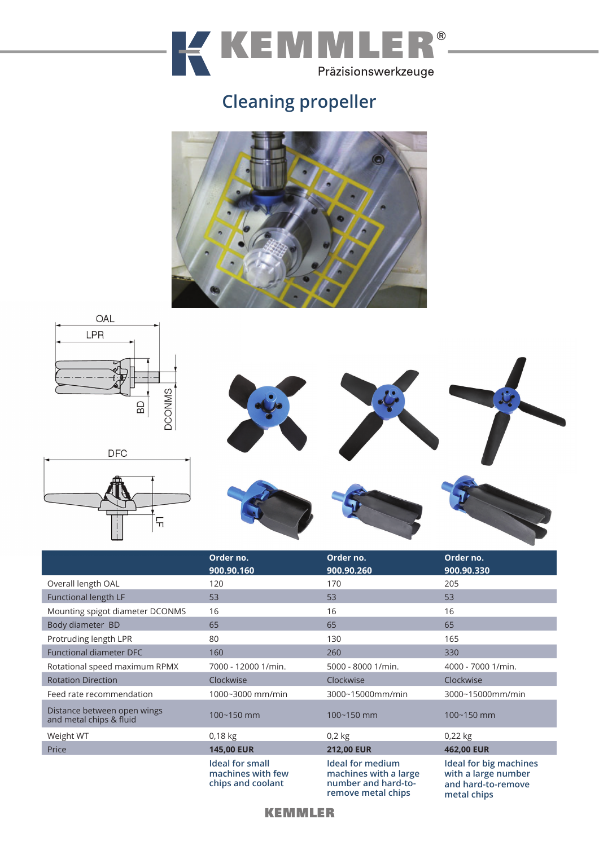

## **Cleaning propeller**









|                                                        | Order no.<br>900.90.160                                          | Order no.<br>900.90.260                                                                       | Order no.<br>900.90.330                                                                   |
|--------------------------------------------------------|------------------------------------------------------------------|-----------------------------------------------------------------------------------------------|-------------------------------------------------------------------------------------------|
| Overall length OAL                                     | 120                                                              | 170                                                                                           | 205                                                                                       |
| Functional length LF                                   | 53                                                               | 53                                                                                            | 53                                                                                        |
| Mounting spigot diameter DCONMS                        | 16                                                               | 16                                                                                            | 16                                                                                        |
| Body diameter BD                                       | 65                                                               | 65                                                                                            | 65                                                                                        |
| Protruding length LPR                                  | 80                                                               | 130                                                                                           | 165                                                                                       |
| <b>Functional diameter DFC</b>                         | 160                                                              | 260                                                                                           | 330                                                                                       |
| Rotational speed maximum RPMX                          | 7000 - 12000 1/min.                                              | 5000 - 8000 1/min.                                                                            | 4000 - 7000 1/min.                                                                        |
| <b>Rotation Direction</b>                              | Clockwise                                                        | Clockwise                                                                                     | Clockwise                                                                                 |
| Feed rate recommendation                               | 1000~3000 mm/min                                                 | 3000~15000mm/min                                                                              | 3000~15000mm/min                                                                          |
| Distance between open wings<br>and metal chips & fluid | 100~150 mm                                                       | $100 - 150$ mm                                                                                | 100~150 mm                                                                                |
| Weight WT                                              | 0,18 kg                                                          | $0,2$ kg                                                                                      | 0,22 kg                                                                                   |
| Price                                                  | <b>145,00 EUR</b>                                                | <b>212,00 EUR</b>                                                                             | 462,00 EUR                                                                                |
|                                                        | <b>Ideal for small</b><br>machines with few<br>chips and coolant | <b>Ideal for medium</b><br>machines with a large<br>number and hard-to-<br>remove metal chips | <b>Ideal for big machines</b><br>with a large number<br>and hard-to-remove<br>metal chips |

## **KEMMLER**